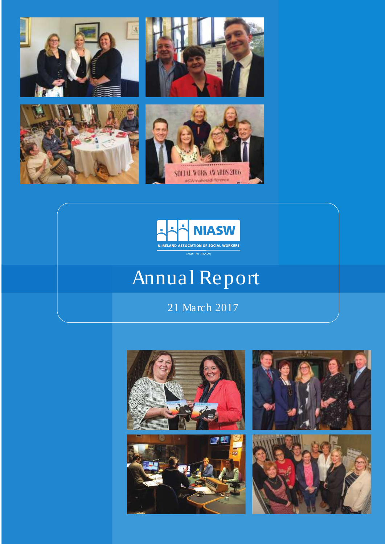



# Annual Report

21 March 2017







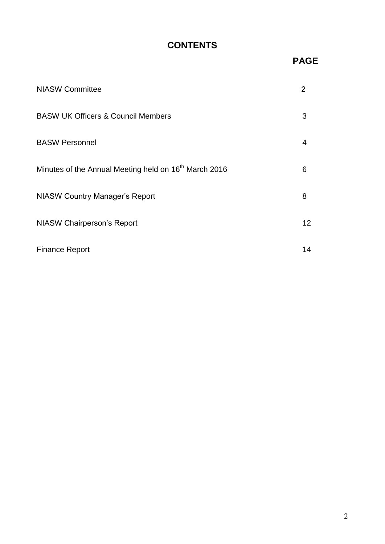## **CONTENTS**

## **PAGE**

| <b>NIASW Committee</b>                                            | 2  |
|-------------------------------------------------------------------|----|
| <b>BASW UK Officers &amp; Council Members</b>                     | 3  |
| <b>BASW Personnel</b>                                             | 4  |
| Minutes of the Annual Meeting held on 16 <sup>th</sup> March 2016 | 6  |
| <b>NIASW Country Manager's Report</b>                             | 8  |
| <b>NIASW Chairperson's Report</b>                                 | 12 |
| <b>Finance Report</b>                                             | 14 |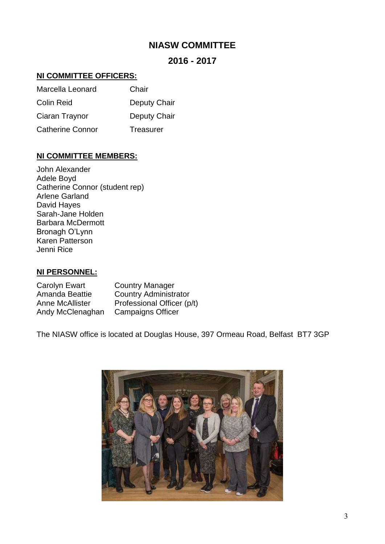## **NIASW COMMITTEE**

## **2016 - 2017**

## **NI COMMITTEE OFFICERS:**

| Marcella Leonard        | Chair        |
|-------------------------|--------------|
| <b>Colin Reid</b>       | Deputy Chair |
| Ciaran Traynor          | Deputy Chair |
| <b>Catherine Connor</b> | Treasurer    |

#### **NI COMMITTEE MEMBERS:**

John Alexander Adele Boyd Catherine Connor (student rep) Arlene Garland David Hayes Sarah-Jane Holden Barbara McDermott Bronagh O'Lynn Karen Patterson Jenni Rice

## **NI PERSONNEL:**

| Carolyn Ewart    | <b>Country Manager</b>       |
|------------------|------------------------------|
| Amanda Beattie   | <b>Country Administrator</b> |
| Anne McAllister  | Professional Officer (p/t)   |
| Andy McClenaghan | <b>Campaigns Officer</b>     |

The NIASW office is located at Douglas House, 397 Ormeau Road, Belfast BT7 3GP

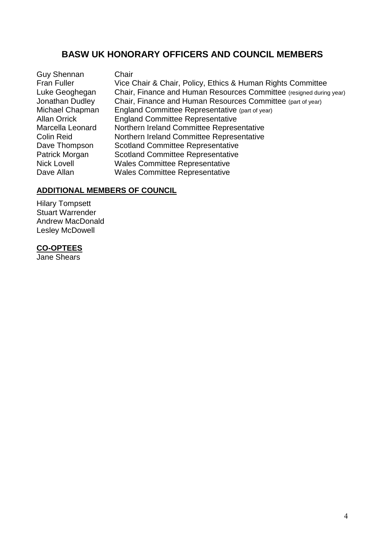## **BASW UK HONORARY OFFICERS AND COUNCIL MEMBERS**

Guy Shennan Chair<br>Fran Fuller Vice C

Vice Chair & Chair, Policy, Ethics & Human Rights Committee Luke Geoghegan Chair, Finance and Human Resources Committee (resigned during year) Jonathan Dudley Chair, Finance and Human Resources Committee (part of year)<br>Michael Chapman England Committee Representative (part of year) Michael Chapman England Committee Representative (part of year)<br>Allan Orrick England Committee Representative **England Committee Representative** Marcella Leonard Northern Ireland Committee Representative Colin Reid **Northern Ireland Committee Representative** Dave Thompson Scotland Committee Representative Patrick Morgan Scotland Committee Representative Nick Lovell Wales Committee Representative Dave Allan Wales Committee Representative

## **ADDITIONAL MEMBERS OF COUNCIL**

Hilary Tompsett Stuart Warrender Andrew MacDonald Lesley McDowell

#### **CO-OPTEES**

Jane Shears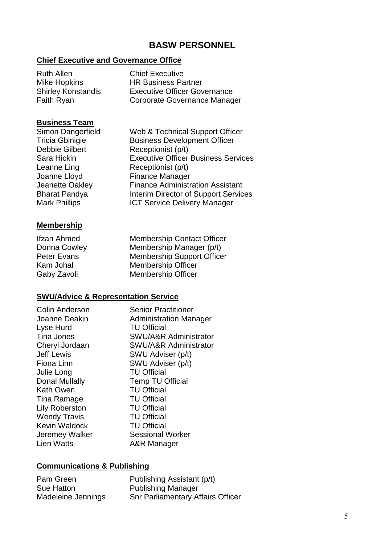## **BASW PERSONNEL**

#### **Chief Executive and Governance Office**

| Ruth Allen                | <b>Chief Executive</b>              |
|---------------------------|-------------------------------------|
| Mike Hopkins              | <b>HR Business Partner</b>          |
| <b>Shirley Konstandis</b> | <b>Executive Officer Governance</b> |
| Faith Ryan                | Corporate Governance Manager        |

## **Business Team**

Simon Dangerfield Web & Technical Support Officer<br>
Tricia Gbinigie Contra Business Development Officer Debbie Gilbert Receptionist (p/t) Sara Hickin Executive Officer Business Services Leanne Ling Receptionist (p/t) Joanne Lloyd Finance Manager Jeanette Oakley Finance Administration Assistant Bharat Pandya **Interim Director of Support Services** Mark Phillips **ICT** Service Delivery Manager

#### **Membership**

Ifzan Ahmed Membership Contact Officer Donna Cowley Membership Manager (p/t) Peter Evans Membership Support Officer Kam Johal Membership Officer Gaby Zavoli Membership Officer

**Business Development Officer** 

#### **SWU/Advice & Representation Service**

Colin Anderson Senior Practitioner Lyse Hurd TU Official Julie Long TU Official Kath Owen TU Official Tina Ramage TU Official Lily Roberston TU Official Wendy Travis TU Official Kevin Waldock **TU Official** 

Joanne Deakin Administration Manager Tina Jones SWU/A&R Administrator Cheryl Jordaan SWU/A&R Administrator Jeff Lewis SWU Adviser (p/t) Fiona Linn SWU Adviser (p/t) Donal Mullally **Temp TU Official** Jeremey Walker Sessional Worker<br>Lien Watts Manager A&R Manager

#### **Communications & Publishing**

Pam Green Publishing Assistant (p/t) Sue Hatton Publishing Manager Madeleine Jennings Snr Parliamentary Affairs Officer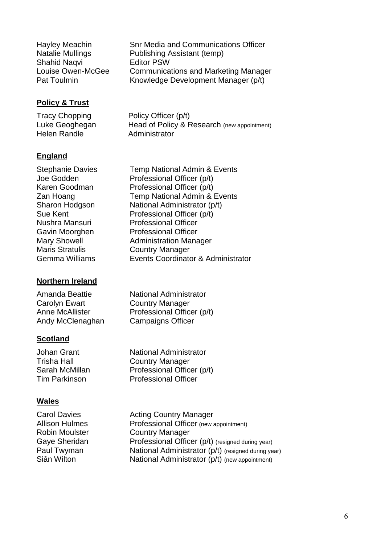| Hayley Meachin                   | <b>Snr Media and Communications Officer</b>                                        |
|----------------------------------|------------------------------------------------------------------------------------|
| <b>Natalie Mullings</b>          | Publishing Assistant (temp)                                                        |
| <b>Shahid Naqvi</b>              | <b>Editor PSW</b>                                                                  |
| Louise Owen-McGee<br>Pat Toulmin | <b>Communications and Marketing Manager</b><br>Knowledge Development Manager (p/t) |

## **Policy & Trust**

Tracy Chopping Policy Officer (p/t)<br>Luke Geoghegan Head of Policy & F Head of Policy & Research (new appointment) Helen Randle **Administrator** 

## **England**

Maris Stratulis **Country Manager**<br>
Gemma Williams **Country Condinate** 

## **Northern Ireland**

Carolyn Ewart Country Manager Andy McClenaghan Campaigns Officer

## **Scotland**

## **Wales**

Stephanie Davies Temp National Admin & Events Joe Godden Professional Officer (p/t) Karen Goodman Professional Officer (p/t) Zan Hoang Temp National Admin & Events Sharon Hodgson National Administrator (p/t) Sue Kent Professional Officer (p/t) Nushra Mansuri Professional Officer Gavin Moorghen Professional Officer Mary Showell **Administration Manager** Events Coordinator & Administrator

Amanda Beattie National Administrator Anne McAllister Professional Officer (p/t)

Johan Grant National Administrator Trisha Hall Country Manager Sarah McMillan Professional Officer (p/t) Tim Parkinson Professional Officer

Carol Davies **Acting Country Manager** Allison Hulmes **Professional Officer** (new appointment) Robin Moulster **Country Manager** Gaye Sheridan **Professional Officer (p/t)** (resigned during year) Paul Twyman National Administrator (p/t) (resigned during year) Siân Wilton National Administrator (p/t) (new appointment)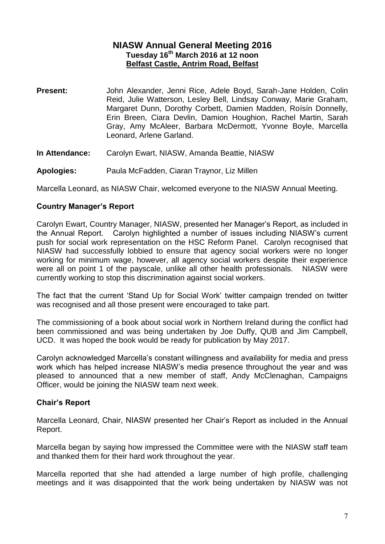### **NIASW Annual General Meeting 2016 Tuesday 16th March 2016 at 12 noon Belfast Castle, Antrim Road, Belfast**

- **Present:** John Alexander, Jenni Rice, Adele Boyd, Sarah-Jane Holden, Colin Reid, Julie Watterson, Lesley Bell, Lindsay Conway, Marie Graham, Margaret Dunn, Dorothy Corbett, Damien Madden, Roísín Donnelly, Erin Breen, Ciara Devlin, Damion Houghion, Rachel Martin, Sarah Gray, Amy McAleer, Barbara McDermott, Yvonne Boyle, Marcella Leonard, Arlene Garland.
- **In Attendance:** Carolyn Ewart, NIASW, Amanda Beattie, NIASW
- **Apologies:** Paula McFadden, Ciaran Traynor, Liz Millen

Marcella Leonard, as NIASW Chair, welcomed everyone to the NIASW Annual Meeting.

#### **Country Manager's Report**

Carolyn Ewart, Country Manager, NIASW, presented her Manager's Report, as included in the Annual Report. Carolyn highlighted a number of issues including NIASW's current push for social work representation on the HSC Reform Panel. Carolyn recognised that NIASW had successfully lobbied to ensure that agency social workers were no longer working for minimum wage, however, all agency social workers despite their experience were all on point 1 of the payscale, unlike all other health professionals. NIASW were currently working to stop this discrimination against social workers.

The fact that the current 'Stand Up for Social Work' twitter campaign trended on twitter was recognised and all those present were encouraged to take part.

The commissioning of a book about social work in Northern Ireland during the conflict had been commissioned and was being undertaken by Joe Duffy, QUB and Jim Campbell, UCD. It was hoped the book would be ready for publication by May 2017.

Carolyn acknowledged Marcella's constant willingness and availability for media and press work which has helped increase NIASW's media presence throughout the year and was pleased to announced that a new member of staff, Andy McClenaghan, Campaigns Officer, would be joining the NIASW team next week.

#### **Chair's Report**

Marcella Leonard, Chair, NIASW presented her Chair's Report as included in the Annual Report.

Marcella began by saying how impressed the Committee were with the NIASW staff team and thanked them for their hard work throughout the year.

Marcella reported that she had attended a large number of high profile, challenging meetings and it was disappointed that the work being undertaken by NIASW was not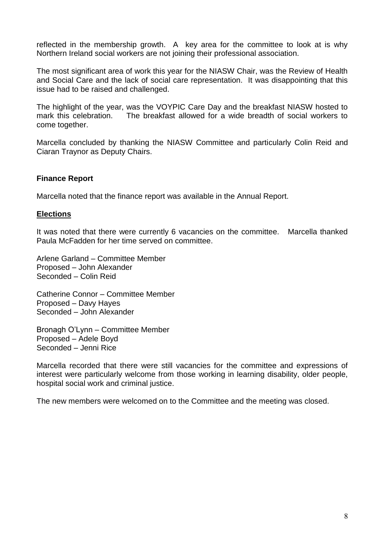reflected in the membership growth. A key area for the committee to look at is why Northern Ireland social workers are not joining their professional association.

The most significant area of work this year for the NIASW Chair, was the Review of Health and Social Care and the lack of social care representation. It was disappointing that this issue had to be raised and challenged.

The highlight of the year, was the VOYPIC Care Day and the breakfast NIASW hosted to mark this celebration. The breakfast allowed for a wide breadth of social workers to come together.

Marcella concluded by thanking the NIASW Committee and particularly Colin Reid and Ciaran Traynor as Deputy Chairs.

## **Finance Report**

Marcella noted that the finance report was available in the Annual Report.

#### **Elections**

It was noted that there were currently 6 vacancies on the committee. Marcella thanked Paula McFadden for her time served on committee.

Arlene Garland – Committee Member Proposed – John Alexander Seconded – Colin Reid

Catherine Connor – Committee Member Proposed – Davy Hayes Seconded – John Alexander

Bronagh O'Lynn – Committee Member Proposed – Adele Boyd Seconded – Jenni Rice

Marcella recorded that there were still vacancies for the committee and expressions of interest were particularly welcome from those working in learning disability, older people, hospital social work and criminal justice.

The new members were welcomed on to the Committee and the meeting was closed.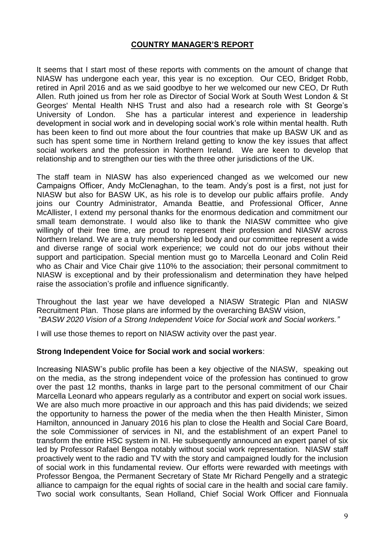## **COUNTRY MANAGER'S REPORT**

It seems that I start most of these reports with comments on the amount of change that NIASW has undergone each year, this year is no exception. Our CEO, Bridget Robb, retired in April 2016 and as we said goodbye to her we welcomed our new CEO, Dr Ruth Allen. Ruth joined us from her role as Director of Social Work at South West London & St Georges' Mental Health NHS Trust and also had a research role with St George's University of London. She has a particular interest and experience in leadership development in social work and in developing social work's role within mental health. Ruth has been keen to find out more about the four countries that make up BASW UK and as such has spent some time in Northern Ireland getting to know the key issues that affect social workers and the profession in Northern Ireland. We are keen to develop that relationship and to strengthen our ties with the three other jurisdictions of the UK.

The staff team in NIASW has also experienced changed as we welcomed our new Campaigns Officer, Andy McClenaghan, to the team. Andy's post is a first, not just for NIASW but also for BASW UK, as his role is to develop our public affairs profile. Andy joins our Country Administrator, Amanda Beattie, and Professional Officer, Anne McAllister, I extend my personal thanks for the enormous dedication and commitment our small team demonstrate. I would also like to thank the NIASW committee who give willingly of their free time, are proud to represent their profession and NIASW across Northern Ireland. We are a truly membership led body and our committee represent a wide and diverse range of social work experience; we could not do our jobs without their support and participation. Special mention must go to Marcella Leonard and Colin Reid who as Chair and Vice Chair give 110% to the association: their personal commitment to NIASW is exceptional and by their professionalism and determination they have helped raise the association's profile and influence significantly.

Throughout the last year we have developed a NIASW Strategic Plan and NIASW Recruitment Plan. Those plans are informed by the overarching BASW vision, "*BASW 2020 Vision of a Strong Independent Voice for Social work and Social workers."*

I will use those themes to report on NIASW activity over the past year.

#### **Strong Independent Voice for Social work and social workers**:

Increasing NIASW's public profile has been a key objective of the NIASW, speaking out on the media, as the strong independent voice of the profession has continued to grow over the past 12 months, thanks in large part to the personal commitment of our Chair Marcella Leonard who appears regularly as a contributor and expert on social work issues. We are also much more proactive in our approach and this has paid dividends; we seized the opportunity to harness the power of the media when the then Health Minister, Simon Hamilton, announced in January 2016 his plan to close the Health and Social Care Board, the sole Commissioner of services in NI, and the establishment of an expert Panel to transform the entire HSC system in NI. He subsequently announced an expert panel of six led by Professor Rafael Bengoa notably without social work representation. NIASW staff proactively went to the radio and TV with the story and campaigned loudly for the inclusion of social work in this fundamental review. Our efforts were rewarded with meetings with Professor Bengoa, the Permanent Secretary of State Mr Richard Pengelly and a strategic alliance to campaign for the equal rights of social care in the health and social care family. Two social work consultants, Sean Holland, Chief Social Work Officer and Fionnuala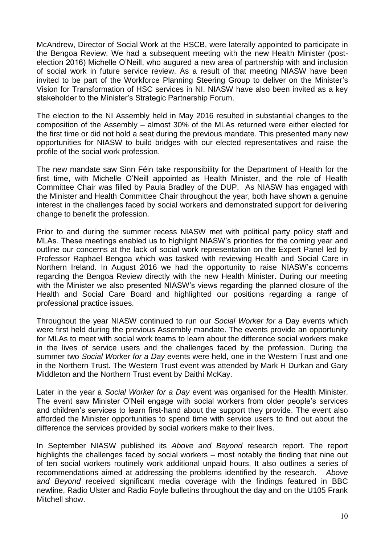McAndrew, Director of Social Work at the HSCB, were laterally appointed to participate in the Bengoa Review. We had a subsequent meeting with the new Health Minister (postelection 2016) Michelle O'Neill, who augured a new area of partnership with and inclusion of social work in future service review. As a result of that meeting NIASW have been invited to be part of the Workforce Planning Steering Group to deliver on the Minister's Vision for Transformation of HSC services in NI. NIASW have also been invited as a key stakeholder to the Minister's Strategic Partnership Forum.

The election to the NI Assembly held in May 2016 resulted in substantial changes to the composition of the Assembly – almost 30% of the MLAs returned were either elected for the first time or did not hold a seat during the previous mandate. This presented many new opportunities for NIASW to build bridges with our elected representatives and raise the profile of the social work profession.

The new mandate saw Sinn Féin take responsibility for the Department of Health for the first time, with Michelle O'Neill appointed as Health Minister, and the role of Health Committee Chair was filled by Paula Bradley of the DUP. As NIASW has engaged with the Minister and Health Committee Chair throughout the year, both have shown a genuine interest in the challenges faced by social workers and demonstrated support for delivering change to benefit the profession.

Prior to and during the summer recess NIASW met with political party policy staff and MLAs. These meetings enabled us to highlight NIASW's priorities for the coming year and outline our concerns at the lack of social work representation on the Expert Panel led by Professor Raphael Bengoa which was tasked with reviewing Health and Social Care in Northern Ireland. In August 2016 we had the opportunity to raise NIASW's concerns regarding the Bengoa Review directly with the new Health Minister. During our meeting with the Minister we also presented NIASW's views regarding the planned closure of the Health and Social Care Board and highlighted our positions regarding a range of professional practice issues.

Throughout the year NIASW continued to run our *Social Worker for a* Day events which were first held during the previous Assembly mandate. The events provide an opportunity for MLAs to meet with social work teams to learn about the difference social workers make in the lives of service users and the challenges faced by the profession. During the summer two *Social Worker for a Day* events were held, one in the Western Trust and one in the Northern Trust. The Western Trust event was attended by Mark H Durkan and Gary Middleton and the Northern Trust event by Daithí McKay.

Later in the year a *Social Worker for a Day* event was organised for the Health Minister. The event saw Minister O'Neil engage with social workers from older people's services and children's services to learn first-hand about the support they provide. The event also afforded the Minister opportunities to spend time with service users to find out about the difference the services provided by social workers make to their lives.

In September NIASW published its *Above and Beyond* research report. The report highlights the challenges faced by social workers – most notably the finding that nine out of ten social workers routinely work additional unpaid hours. It also outlines a series of recommendations aimed at addressing the problems identified by the research. *Above and Beyond* received significant media coverage with the findings featured in BBC newline, Radio Ulster and Radio Foyle bulletins throughout the day and on the U105 Frank Mitchell show.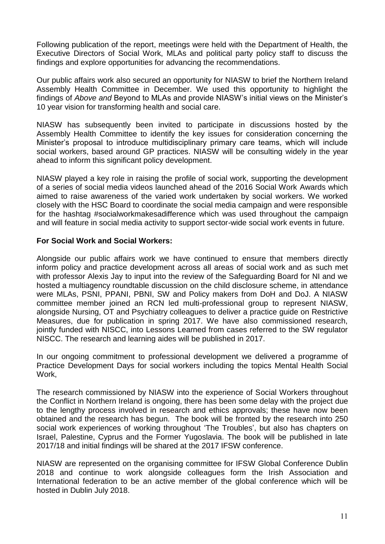Following publication of the report, meetings were held with the Department of Health, the Executive Directors of Social Work, MLAs and political party policy staff to discuss the findings and explore opportunities for advancing the recommendations.

Our public affairs work also secured an opportunity for NIASW to brief the Northern Ireland Assembly Health Committee in December. We used this opportunity to highlight the findings of *Above and* Beyond to MLAs and provide NIASW's initial views on the Minister's 10 year vision for transforming health and social care.

NIASW has subsequently been invited to participate in discussions hosted by the Assembly Health Committee to identify the key issues for consideration concerning the Minister's proposal to introduce multidisciplinary primary care teams, which will include social workers, based around GP practices. NIASW will be consulting widely in the year ahead to inform this significant policy development.

NIASW played a key role in raising the profile of social work, supporting the development of a series of social media videos launched ahead of the 2016 Social Work Awards which aimed to raise awareness of the varied work undertaken by social workers. We worked closely with the HSC Board to coordinate the social media campaign and were responsible for the hashtag #socialworkmakesadifference which was used throughout the campaign and will feature in social media activity to support sector-wide social work events in future.

#### **For Social Work and Social Workers:**

Alongside our public affairs work we have continued to ensure that members directly inform policy and practice development across all areas of social work and as such met with professor Alexis Jay to input into the review of the Safeguarding Board for NI and we hosted a multiagency roundtable discussion on the child disclosure scheme, in attendance were MLAs, PSNI, PPANI, PBNI, SW and Policy makers from DoH and DoJ. A NIASW committee member joined an RCN led multi-professional group to represent NIASW, alongside Nursing, OT and Psychiatry colleagues to deliver a practice guide on Restrictive Measures, due for publication in spring 2017. We have also commissioned research, jointly funded with NISCC, into Lessons Learned from cases referred to the SW regulator NISCC. The research and learning aides will be published in 2017.

In our ongoing commitment to professional development we delivered a programme of Practice Development Days for social workers including the topics Mental Health Social Work,

The research commissioned by NIASW into the experience of Social Workers throughout the Conflict in Northern Ireland is ongoing, there has been some delay with the project due to the lengthy process involved in research and ethics approvals; these have now been obtained and the research has begun. The book will be fronted by the research into 250 social work experiences of working throughout 'The Troubles', but also has chapters on Israel, Palestine, Cyprus and the Former Yugoslavia. The book will be published in late 2017/18 and initial findings will be shared at the 2017 IFSW conference.

NIASW are represented on the organising committee for IFSW Global Conference Dublin 2018 and continue to work alongside colleagues form the Irish Association and International federation to be an active member of the global conference which will be hosted in Dublin July 2018.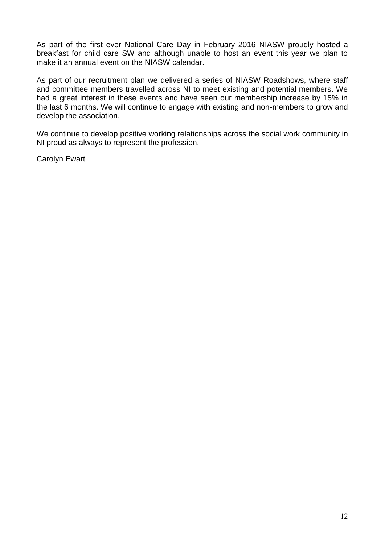As part of the first ever National Care Day in February 2016 NIASW proudly hosted a breakfast for child care SW and although unable to host an event this year we plan to make it an annual event on the NIASW calendar.

As part of our recruitment plan we delivered a series of NIASW Roadshows, where staff and committee members travelled across NI to meet existing and potential members. We had a great interest in these events and have seen our membership increase by 15% in the last 6 months. We will continue to engage with existing and non-members to grow and develop the association.

We continue to develop positive working relationships across the social work community in NI proud as always to represent the profession.

Carolyn Ewart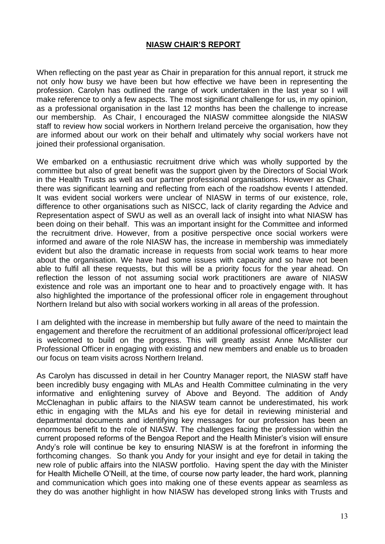#### **NIASW CHAIR'S REPORT**

When reflecting on the past year as Chair in preparation for this annual report, it struck me not only how busy we have been but how effective we have been in representing the profession. Carolyn has outlined the range of work undertaken in the last year so I will make reference to only a few aspects. The most significant challenge for us, in my opinion, as a professional organisation in the last 12 months has been the challenge to increase our membership. As Chair, I encouraged the NIASW committee alongside the NIASW staff to review how social workers in Northern Ireland perceive the organisation, how they are informed about our work on their behalf and ultimately why social workers have not joined their professional organisation.

We embarked on a enthusiastic recruitment drive which was wholly supported by the committee but also of great benefit was the support given by the Directors of Social Work in the Health Trusts as well as our partner professional organisations. However as Chair, there was significant learning and reflecting from each of the roadshow events I attended. It was evident social workers were unclear of NIASW in terms of our existence, role, difference to other organisations such as NISCC, lack of clarity regarding the Advice and Representation aspect of SWU as well as an overall lack of insight into what NIASW has been doing on their behalf. This was an important insight for the Committee and informed the recruitment drive. However, from a positive perspective once social workers were informed and aware of the role NIASW has, the increase in membership was immediately evident but also the dramatic increase in requests from social work teams to hear more about the organisation. We have had some issues with capacity and so have not been able to fulfil all these requests, but this will be a priority focus for the year ahead. On reflection the lesson of not assuming social work practitioners are aware of NIASW existence and role was an important one to hear and to proactively engage with. It has also highlighted the importance of the professional officer role in engagement throughout Northern Ireland but also with social workers working in all areas of the profession.

I am delighted with the increase in membership but fully aware of the need to maintain the engagement and therefore the recruitment of an additional professional officer/project lead is welcomed to build on the progress. This will greatly assist Anne McAllister our Professional Officer in engaging with existing and new members and enable us to broaden our focus on team visits across Northern Ireland.

As Carolyn has discussed in detail in her Country Manager report, the NIASW staff have been incredibly busy engaging with MLAs and Health Committee culminating in the very informative and enlightening survey of Above and Beyond. The addition of Andy McClenaghan in public affairs to the NIASW team cannot be underestimated, his work ethic in engaging with the MLAs and his eye for detail in reviewing ministerial and departmental documents and identifying key messages for our profession has been an enormous benefit to the role of NIASW. The challenges facing the profession within the current proposed reforms of the Bengoa Report and the Health Minister's vision will ensure Andy's role will continue be key to ensuring NIASW is at the forefront in informing the forthcoming changes. So thank you Andy for your insight and eye for detail in taking the new role of public affairs into the NIASW portfolio. Having spent the day with the Minister for Health Michelle O'Neill, at the time, of course now party leader, the hard work, planning and communication which goes into making one of these events appear as seamless as they do was another highlight in how NIASW has developed strong links with Trusts and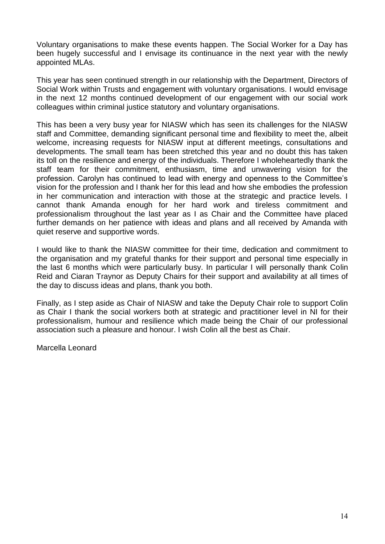Voluntary organisations to make these events happen. The Social Worker for a Day has been hugely successful and I envisage its continuance in the next year with the newly appointed MLAs.

This year has seen continued strength in our relationship with the Department, Directors of Social Work within Trusts and engagement with voluntary organisations. I would envisage in the next 12 months continued development of our engagement with our social work colleagues within criminal justice statutory and voluntary organisations.

This has been a very busy year for NIASW which has seen its challenges for the NIASW staff and Committee, demanding significant personal time and flexibility to meet the, albeit welcome, increasing requests for NIASW input at different meetings, consultations and developments. The small team has been stretched this year and no doubt this has taken its toll on the resilience and energy of the individuals. Therefore I wholeheartedly thank the staff team for their commitment, enthusiasm, time and unwavering vision for the profession. Carolyn has continued to lead with energy and openness to the Committee's vision for the profession and I thank her for this lead and how she embodies the profession in her communication and interaction with those at the strategic and practice levels. I cannot thank Amanda enough for her hard work and tireless commitment and professionalism throughout the last year as I as Chair and the Committee have placed further demands on her patience with ideas and plans and all received by Amanda with quiet reserve and supportive words.

I would like to thank the NIASW committee for their time, dedication and commitment to the organisation and my grateful thanks for their support and personal time especially in the last 6 months which were particularly busy. In particular I will personally thank Colin Reid and Ciaran Traynor as Deputy Chairs for their support and availability at all times of the day to discuss ideas and plans, thank you both.

Finally, as I step aside as Chair of NIASW and take the Deputy Chair role to support Colin as Chair I thank the social workers both at strategic and practitioner level in NI for their professionalism, humour and resilience which made being the Chair of our professional association such a pleasure and honour. I wish Colin all the best as Chair.

Marcella Leonard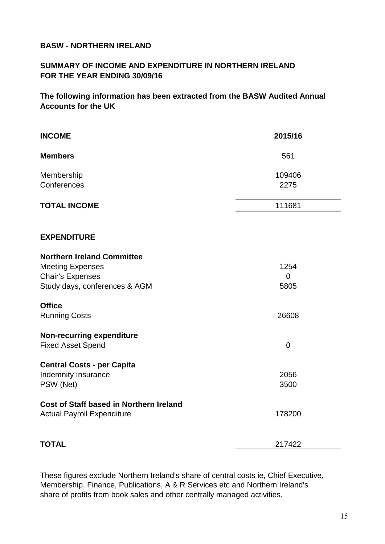### **BASW - NORTHERN IRELAND**

## **SUMMARY OF INCOME AND EXPENDITURE IN NORTHERN IRELAND FOR THE YEAR ENDING 30/09/16**

**The following information has been extracted from the BASW Audited Annual Accounts for the UK**

| <b>INCOME</b>                                  | 2015/16        |
|------------------------------------------------|----------------|
| <b>Members</b>                                 | 561            |
| Membership                                     | 109406         |
| Conferences                                    | 2275           |
| <b>TOTAL INCOME</b>                            | 111681         |
| <b>EXPENDITURE</b>                             |                |
| <b>Northern Ireland Committee</b>              |                |
| <b>Meeting Expenses</b>                        | 1254           |
| <b>Chair's Expenses</b>                        | $\overline{0}$ |
| Study days, conferences & AGM                  | 5805           |
| <b>Office</b>                                  |                |
| <b>Running Costs</b>                           | 26608          |
| <b>Non-recurring expenditure</b>               |                |
| <b>Fixed Asset Spend</b>                       | $\overline{0}$ |
| <b>Central Costs - per Capita</b>              |                |
| <b>Indemnity Insurance</b>                     | 2056           |
| PSW (Net)                                      | 3500           |
| <b>Cost of Staff based in Northern Ireland</b> |                |
| <b>Actual Payroll Expenditure</b>              | 178200         |
| <b>TOTAL</b>                                   | 217422         |

These figures exclude Northern Ireland's share of central costs ie, Chief Executive, Membership, Finance, Publications, A & R Services etc and Northern Ireland's share of profits from book sales and other centrally managed activities.